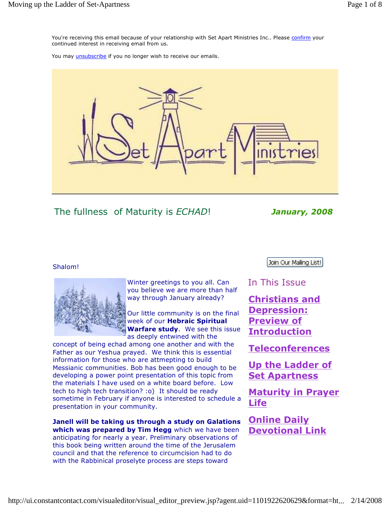You're receiving this email because of your relationship with Set Apart Ministries Inc.. Please confirm your continued interest in receiving email from us.

You may *unsubscribe* if you no longer wish to receive our emails.



The fullness of Maturity is ECHAD! January, 2008

### Shalom!



Winter greetings to you all. Can you believe we are more than half way through January already?

Our little community is on the final week of our Hebraic Spiritual Warfare study. We see this issue as deeply entwined with the

concept of being echad among one another and with the Father as our Yeshua prayed. We think this is essential information for those who are attmepting to build Messianic communities. Bob has been good enough to be developing a power point presentation of this topic from the materials I have used on a white board before. Low tech to high tech transition? :o) It should be ready sometime in February if anyone is interested to schedule a presentation in your community.

Janell will be taking us through a study on Galations which was prepared by Tim Hegg which we have been anticipating for nearly a year. Preliminary observations of this book being written around the time of the Jerusalem council and that the reference to circumcision had to do with the Rabbinical proselyte process are steps toward

Join Our Mailing List!

## In This Issue

Christians and Depression: Preview of Introduction

Teleconferences

Up the Ladder of Set Apartness

Maturity in Prayer Life

Online Daily Devotional Link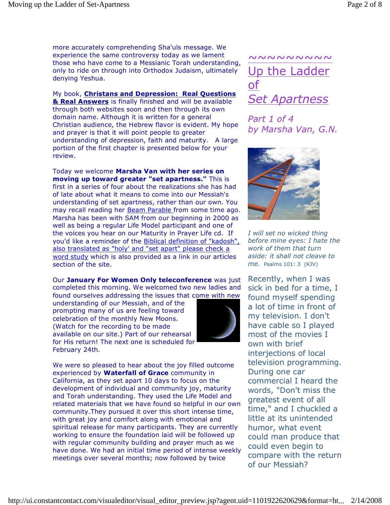more accurately comprehending Sha'uls message. We experience the same controversy today as we lament those who have come to a Messianic Torah understanding, only to ride on through into Orthodox Judaism, ultimately denying Yeshua.

My book, Christans and Depression: Real Questions & Real Answers is finally finished and will be available through both websites soon and then through its own domain name. Although it is written for a general Christian audience, the Hebrew flavor is evident. My hope and prayer is that it will point people to greater understanding of depression, faith and maturity. A large portion of the first chapter is presented below for your review.

Today we welcome Marsha Van with her series on moving up toward greater "set apartness." This is first in a series of four about the realizations she has had of late about what it means to come into our Messiah's understanding of set apartness, rather than our own. You may recall reading her **Beam Parable** from some time ago. Marsha has been with SAM from our beginning in 2000 as well as being a regular Life Model participant and one of the voices you hear on our Maturity in Prayer Life cd. If you'd like a reminder of the Biblical definition of "kadosh", also translated as "holy' and "set apart" please check a word study which is also provided as a link in our articles section of the site.

Our January For Women Only teleconference was just completed this morning. We welcomed two new ladies and found ourselves addressing the issues that come with new

understanding of our Messiah, and of the prompting many of us are feeling toward celebration of the monthly New Moons. (Watch for the recording to be made available on our site.) Part of our rehearsal for His return! The next one is scheduled for February 24th.



We were so pleased to hear about the joy filled outcome experienced by **Waterfall of Grace** community in California, as they set apart 10 days to focus on the development of individual and community joy, maturity and Torah understanding. They used the Life Model and related materials that we have found so helpful in our own community.They pursued it over this short intense time, with great joy and comfort along with emotional and spiritual release for many participants. They are currently working to ensure the foundation laid will be followed up with regular community building and prayer much as we have done. We had an initial time period of intense weekly meetings over several months; now followed by twice

# ~~~~~~~~~ Up the Ladder of Set Apartness

Part 1 of 4 by Marsha Van, G.N.



I will set no wicked thing before mine eyes: I hate the work of them that turn aside: it shall not cleave to me. Psalms 101: 3 (KJV)

Recently, when I was sick in bed for a time, I found myself spending a lot of time in front of my television. I don't have cable so I played most of the movies I own with brief interjections of local television programming. During one car commercial I heard the words, "Don't miss the greatest event of all time," and I chuckled a little at its unintended humor, what event could man produce that could even begin to compare with the return of our Messiah?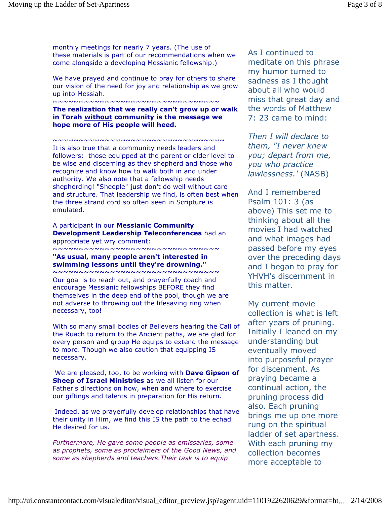monthly meetings for nearly 7 years. (The use of these materials is part of our recommendations when we come alongside a developing Messianic fellowship.)

We have prayed and continue to pray for others to share our vision of the need for joy and relationship as we grow up into Messiah.

#### ~~~~~~~~~~~~~~~~~~~~~~~~~~~~~~~~

The realization that we really can't grow up or walk in Torah without community is the message we hope more of His people will heed.

~~~~~~~~~~~~~~~~~~~~~~~~~~~~~~~~~

It is also true that a community needs leaders and followers: those equipped at the parent or elder level to be wise and discerning as they shepherd and those who recognize and know how to walk both in and under authority. We also note that a fellowship needs shepherding! "Sheeple" just don't do well without care and structure. That leadership we find, is often best when the three strand cord so often seen in Scripture is emulated.

#### A participant in our Messianic Community Development Leadership Teleconferences had an appropriate yet wry comment:

~~~~~~~~~~~~~~~~~~~~~~~~~~~~~~

"As usual, many people aren't interested in swimming lessons until they're drowning."

~~~~~~~~~~~~~~~~~~~~~~~~~~~~~~~~ Our goal is to reach out, and prayerfully coach and encourage Messianic fellowships BEFORE they find themselves in the deep end of the pool, though we are not adverse to throwing out the lifesaving ring when necessary, too!

With so many small bodies of Believers hearing the Call of the Ruach to return to the Ancient paths, we are glad for every person and group He equips to extend the message to more. Though we also caution that equipping IS necessary.

We are pleased, too, to be working with **Dave Gipson of** Sheep of Israel Ministries as we all listen for our Father's directions on how, when and where to exercise our giftings and talents in preparation for His return.

 Indeed, as we prayerfully develop relationships that have their unity in Him, we find this IS the path to the echad He desired for us.

Furthermore, He gave some people as emissaries, some as prophets, some as proclaimers of the Good News, and some as shepherds and teachers.Their task is to equip

As I continued to meditate on this phrase my humor turned to sadness as I thought about all who would miss that great day and the words of Matthew 7: 23 came to mind:

Then I will declare to them, "I never knew you; depart from me, you who practice lawlessness.' (NASB)

And I remembered Psalm 101: 3 (as above) This set me to thinking about all the movies I had watched and what images had passed before my eyes over the preceding days and I began to pray for YHVH's discernment in this matter.

My current movie collection is what is left after years of pruning. Initially I leaned on my understanding but eventually moved into purposeful prayer for discenment. As praying became a continual action, the pruning process did also. Each pruning brings me up one more rung on the spiritual ladder of set apartness. With each pruning my collection becomes more acceptable to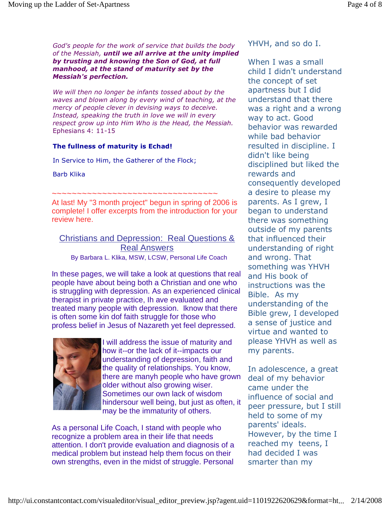God's people for the work of service that builds the body of the Messiah, until we all arrive at the unity implied by trusting and knowing the Son of God, at full manhood, at the stand of maturity set by the Messiah's perfection.

We will then no longer be infants tossed about by the waves and blown along by every wind of teaching, at the mercy of people clever in devising ways to deceive. Instead, speaking the truth in love we will in every respect grow up into Him Who is the Head, the Messiah. Ephesians 4: 11-15

#### The fullness of maturity is Echad!

In Service to Him, the Gatherer of the Flock;

Barb Klika

~~~~~~~~~~~~~~~~~~~~~~~~~~~~~~~~~~

At last! My "3 month project" begun in spring of 2006 is complete! I offer excerpts from the introduction for your review here.

Christians and Depression: Real Questions & Real Answers By Barbara L. Klika, MSW, LCSW, Personal Life Coach

In these pages, we will take a look at questions that real people have about being both a Christian and one who is struggling with depression. As an experienced clinical therapist in private practice, Ih ave evaluated and treated many people with depression. Iknow that there is often some kin dof faith struggle for those who profess belief in Jesus of Nazareth yet feel depressed.



I will address the issue of maturity and how it--or the lack of it--impacts our understanding of depression, faith and the quality of relationships. You know, there are manyh people who have grown older without also growing wiser. Sometimes our own lack of wisdom hindersour well being, but just as often, it may be the immaturity of others.

As a personal Life Coach, I stand with people who recognize a problem area in their life that needs attention. I don't provide evaluation and diagnosis of a medical problem but instead help them focus on their own strengths, even in the midst of struggle. Personal YHVH, and so do I.

When I was a small child I didn't understand the concept of set apartness but I did understand that there was a right and a wrong way to act. Good behavior was rewarded while bad behavior resulted in discipline. I didn't like being disciplined but liked the rewards and consequently developed a desire to please my parents. As I grew, I began to understand there was something outside of my parents that influenced their understanding of right and wrong. That something was YHVH and His book of instructions was the Bible. As my understanding of the Bible grew, I developed a sense of justice and virtue and wanted to please YHVH as well as my parents.

In adolescence, a great deal of my behavior came under the influence of social and peer pressure, but I still held to some of my parents' ideals. However, by the time I reached my teens, I had decided I was smarter than my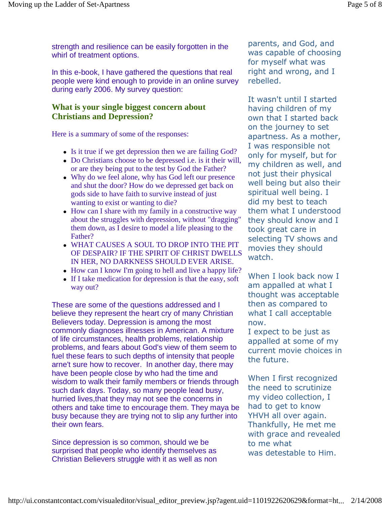strength and resilience can be easily forgotten in the whirl of treatment options.

In this e-book, I have gathered the questions that real people were kind enough to provide in an online survey during early 2006. My survey question:

### **What is your single biggest concern about Christians and Depression?**

Here is a summary of some of the responses:

- Is it true if we get depression then we are failing God?
- Do Christians choose to be depressed i.e. is it their will, or are they being put to the test by God the Father?
- Why do we feel alone, why has God left our presence and shut the door? How do we depressed get back on gods side to have faith to survive instead of just wanting to exist or wanting to die?
- How can I share with my family in a constructive way about the struggles with depression, without "dragging" them down, as I desire to model a life pleasing to the Father?
- WHAT CAUSES A SOUL TO DROP INTO THE PIT OF DESPAIR? IF THE SPIRIT OF CHRIST DWELLS IN HER, NO DARKNESS SHOULD EVER ARISE.
- How can I know I'm going to hell and live a happy life?
- If I take medication for depression is that the easy, soft way out?

These are some of the questions addressed and I believe they represent the heart cry of many Christian Believers today. Depression is among the most commonly diagnoses illnesses in American. A mixture of life circumstances, health problems, relationship problems, and fears about God's view of them seem to fuel these fears to such depths of intensity that people arne't sure how to recover. In another day, there may have been people close by who had the time and wisdom to walk their family members or friends through such dark days. Today, so many people lead busy, hurried lives,that they may not see the concerns in others and take time to encourage them. They maya be busy because they are trying not to slip any further into their own fears.

Since depression is so common, should we be surprised that people who identify themselves as Christian Believers struggle with it as well as non parents, and God, and was capable of choosing for myself what was right and wrong, and I rebelled.

It wasn't until I started having children of my own that I started back on the journey to set apartness. As a mother, I was responsible not only for myself, but for my children as well, and not just their physical well being but also their spiritual well being. I did my best to teach them what I understood they should know and I took great care in selecting TV shows and movies they should watch.

When I look back now I am appalled at what I thought was acceptable then as compared to what I call acceptable now.

I expect to be just as appalled at some of my current movie choices in the future.

When I first recognized the need to scrutinize my video collection, I had to get to know YHVH all over again. Thankfully, He met me with grace and revealed to me what was detestable to Him.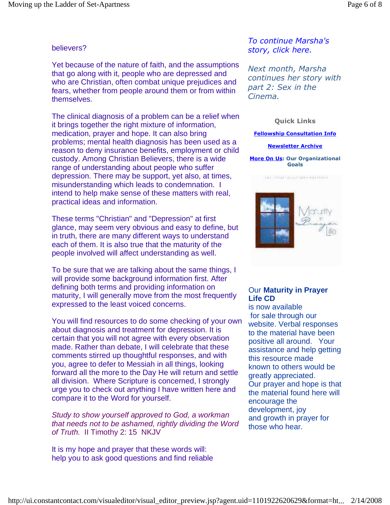### believers?

Yet because of the nature of faith, and the assumptions that go along with it, people who are depressed and who are Christian, often combat unique prejudices and fears, whether from people around them or from within themselves.

The clinical diagnosis of a problem can be a relief when it brings together the right mixture of information, medication, prayer and hope. It can also bring problems; mental health diagnosis has been used as a reason to deny insurance benefits, employment or child custody. Among Christian Believers, there is a wide range of understanding about people who suffer depression. There may be support, yet also, at times, misunderstanding which leads to condemnation. I intend to help make sense of these matters with real, practical ideas and information.

These terms "Christian" and "Depression" at first glance, may seem very obvious and easy to define, but in truth, there are many different ways to understand each of them. It is also true that the maturity of the people involved will affect understanding as well.

To be sure that we are talking about the same things, I will provide some background information first. After defining both terms and providing information on maturity, I will generally move from the most frequently expressed to the least voiced concerns.

You will find resources to do some checking of your own about diagnosis and treatment for depression. It is certain that you will not agree with every observation made. Rather than debate, I will celebrate that these comments stirred up thoughtful responses, and with you, agree to defer to Messiah in all things, looking forward all the more to the Day He will return and settle all division. Where Scripture is concerned, I strongly urge you to check out anything I have written here and compare it to the Word for yourself.

Study to show yourself approved to God, a workman that needs not to be ashamed, rightly dividing the Word of Truth. II Timothy 2: 15 NKJV

It is my hope and prayer that these words will: help you to ask good questions and find reliable

To continue Marsha's story, click here.

Next month, Marsha continues her story with part 2: Sex in the Cinema.

### Quick Links

#### Fellowship Consultation Info

#### Newsletter Archive

More On Us: Our Organizational Goals



### Our **Maturity in Prayer Life CD**

is now available for sale through our website. Verbal responses to the material have been positive all around. Your assistance and help getting this resource made known to others would be greatly appreciated. Our prayer and hope is that the material found here will encourage the development, joy and growth in prayer for those who hear.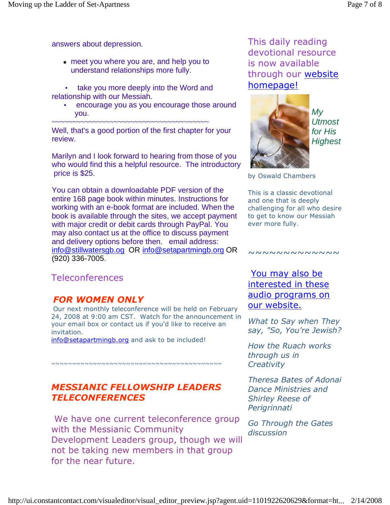answers about depression.

- meet you where you are, and help you to understand relationships more fully.
- take you more deeply into the Word and relationship with our Messiah.
	- encourage you as you encourage those around you.

~~~~~~~~~~~~~~~~~~~~~~~~~~~~~~~~~~~~~~ Well, that's a good portion of the first chapter for your review.

Marilyn and I look forward to hearing from those of you who would find this a helpful resource. The introductory price is \$25.

You can obtain a downloadable PDF version of the entire 168 page book within minutes. Instructions for working with an e-book format are included. When the book is available through the sites, we accept payment with major credit or debit cards through PayPal. You may also contact us at the office to discuss payment and delivery options before then. email address: info@stillwatersgb.og OR info@setapartmingb.org OR (920) 336-7005.

# Teleconferences

# FOR WOMEN ONLY

Our next monthly teleconference will be held on February 24, 2008 at 9:00 am CST. Watch for the announcement in your email box or contact us if you'd like to receive an invitation.

info@setapartmingb.org and ask to be included!

## MESSIANIC FELLOWSHIP LEADERS TELECONFERENCES

~~~~~~~~~~~~~~~~~~~~~~~~~~~~~~~~~~~~~~~~~

 We have one current teleconference group with the Messianic Community Development Leaders group, though we will not be taking new members in that group for the near future.

This daily reading devotional resource is now available through our website homepage!



My **Utmost** for His **Highest** 

by Oswald Chambers

This is a classic devotional and one that is deeply challenging for all who desire to get to know our Messiah ever more fully.

### ~~~~~~~~~~~

You may also be interested in these audio programs on our website.

What to Say when They say, "So, You're Jewish?

How the Ruach works through us in **Creativity** 

Theresa Bates of Adonai Dance Ministries and Shirley Reese of Perigrinnati

Go Through the Gates discussion